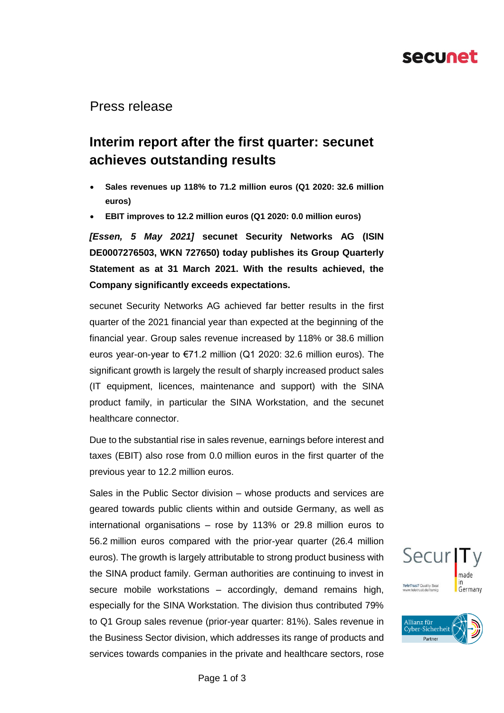## secunet

#### Press release

## **Interim report after the first quarter: secunet achieves outstanding results**

- **Sales revenues up 118% to 71.2 million euros (Q1 2020: 32.6 million euros)**
- **EBIT improves to 12.2 million euros (Q1 2020: 0.0 million euros)**

*[Essen, 5 May 2021]* **secunet Security Networks AG (ISIN DE0007276503, WKN 727650) today publishes its Group Quarterly Statement as at 31 March 2021. With the results achieved, the Company significantly exceeds expectations.**

secunet Security Networks AG achieved far better results in the first quarter of the 2021 financial year than expected at the beginning of the financial year. Group sales revenue increased by 118% or 38.6 million euros year-on-year to €71.2 million (Q1 2020: 32.6 million euros). The significant growth is largely the result of sharply increased product sales (IT equipment, licences, maintenance and support) with the SINA product family, in particular the SINA Workstation, and the secunet healthcare connector.

Due to the substantial rise in sales revenue, earnings before interest and taxes (EBIT) also rose from 0.0 million euros in the first quarter of the previous year to 12.2 million euros.

Sales in the Public Sector division – whose products and services are geared towards public clients within and outside Germany, as well as international organisations – rose by 113% or 29.8 million euros to 56.2 million euros compared with the prior-year quarter (26.4 million euros). The growth is largely attributable to strong product business with the SINA product family. German authorities are continuing to invest in secure mobile workstations – accordingly, demand remains high, especially for the SINA Workstation. The division thus contributed 79% to Q1 Group sales revenue (prior-year quarter: 81%). Sales revenue in the Business Sector division, which addresses its range of products and services towards companies in the private and healthcare sectors, rose

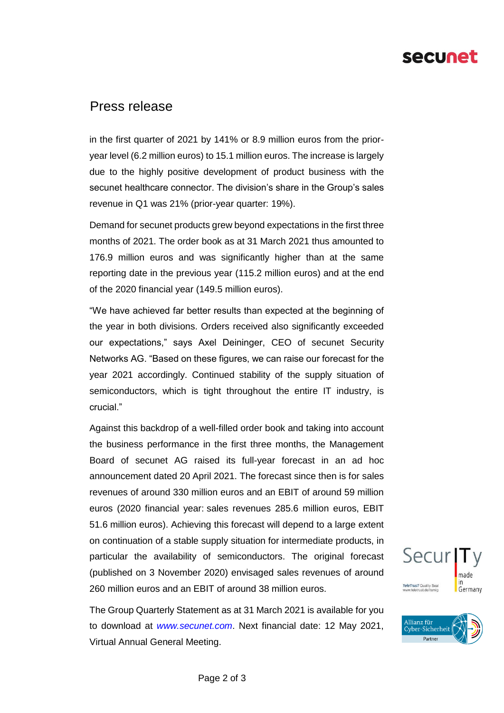# secunet

### Press release

in the first quarter of 2021 by 141% or 8.9 million euros from the prioryear level (6.2 million euros) to 15.1 million euros. The increase is largely due to the highly positive development of product business with the secunet healthcare connector. The division's share in the Group's sales revenue in Q1 was 21% (prior-year quarter: 19%).

Demand for secunet products grew beyond expectations in the first three months of 2021. The order book as at 31 March 2021 thus amounted to 176.9 million euros and was significantly higher than at the same reporting date in the previous year (115.2 million euros) and at the end of the 2020 financial year (149.5 million euros).

"We have achieved far better results than expected at the beginning of the year in both divisions. Orders received also significantly exceeded our expectations," says Axel Deininger, CEO of secunet Security Networks AG. "Based on these figures, we can raise our forecast for the year 2021 accordingly. Continued stability of the supply situation of semiconductors, which is tight throughout the entire IT industry, is crucial."

Against this backdrop of a well-filled order book and taking into account the business performance in the first three months, the Management Board of secunet AG raised its full-year forecast in an ad hoc announcement dated 20 April 2021. The forecast since then is for sales revenues of around 330 million euros and an EBIT of around 59 million euros (2020 financial year: sales revenues 285.6 million euros, EBIT 51.6 million euros). Achieving this forecast will depend to a large extent on continuation of a stable supply situation for intermediate products, in particular the availability of semiconductors. The original forecast (published on 3 November 2020) envisaged sales revenues of around 260 million euros and an EBIT of around 38 million euros.

The Group Quarterly Statement as at 31 March 2021 is available for you to download at *www.secunet.com*. Next financial date: 12 May 2021, Virtual Annual General Meeting.